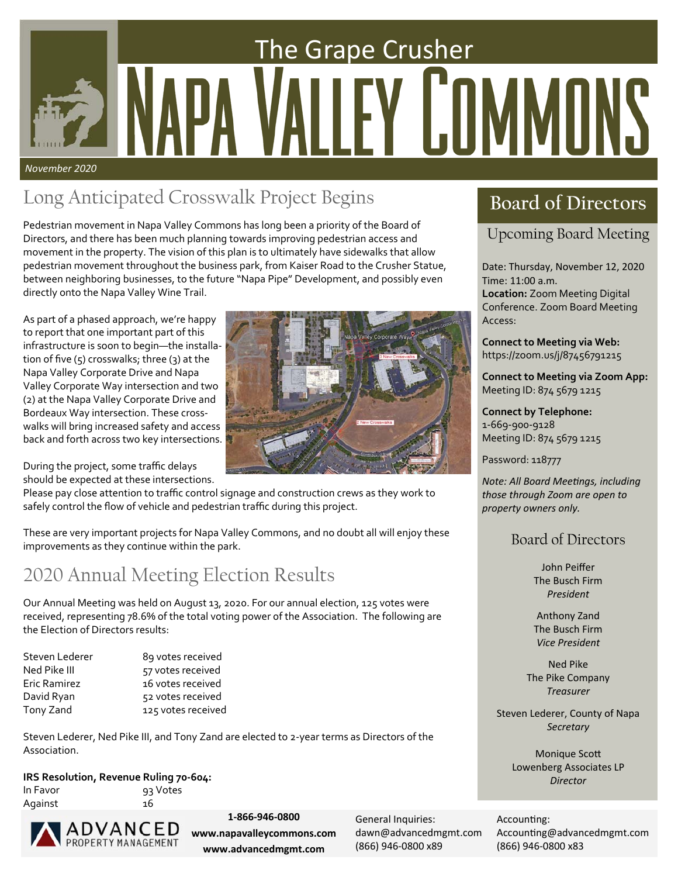# The Grape Crusher  $\overline{\phantom{a}}$ *November 2020*

## Long Anticipated Crosswalk Project Begins **Board of Directors**

Pedestrian movement in Napa Valley Commons has long been a priority of the Board of Directors, and there has been much planning towards improving pedestrian access and movement in the property. The vision of this plan is to ultimately have sidewalks that allow pedestrian movement throughout the business park, from Kaiser Road to the Crusher Statue, between neighboring businesses, to the future "Napa Pipe" Development, and possibly even directly onto the Napa Valley Wine Trail.

As part of a phased approach, we're happy to report that one important part of this infrastructure is soon to begin—the installa‐ tion of five  $(5)$  crosswalks; three  $(3)$  at the Napa Valley Corporate Drive and Napa Valley Corporate Way intersection and two (2) at the Napa Valley Corporate Drive and Bordeaux Way intersection. These cross‐ walks will bring increased safety and access back and forth across two key intersections.

During the project, some traffic delays should be expected at these intersections.

Please pay close attention to traffic control signage and construction crews as they work to safely control the flow of vehicle and pedestrian traffic during this project.

These are very important projects for Napa Valley Commons, and no doubt all will enjoy these improvements as they continue within the park.

### 2020 Annual Meeting Election Results

Our Annual Meeting was held on August 13, 2020. For our annual election, 125 votes were received, representing 78.6% of the total voting power of the Association. The following are the Election of Directors results:

| Steven Lederer | 89 votes received  |
|----------------|--------------------|
| Ned Pike III   | 57 votes received  |
| Eric Ramirez   | 16 votes received  |
| David Ryan     | 52 votes received  |
| Tony Zand      | 125 votes received |

Steven Lederer, Ned Pike III, and Tony Zand are elected to 2‐year terms as Directors of the Association.

### **IRS Resolution, Revenue Ruling 70‐604:**

In Favor **and State State** 93 Votes Against 16

**ADVANCED** 

**1‐866‐946‐0800 www.napavalleycommons.com www.advancedmgmt.com** 

General Inquiries: dawn@advancedmgmt.com (866) 946‐0800 x89

Upcoming Board Meeting

Date: Thursday, November 12, 2020 Time: 11:00 a.m. **Location:** Zoom Meeting Digital Conference. Zoom Board Meeting Access:

**Connect to Meeting via Web:**  https://zoom.us/j/87456791215

**Connect to Meeting via Zoom App:**  Meeting ID: 874 5679 1215

**Connect by Telephone:**  1‐669‐900‐9128 Meeting ID: 874 5679 1215

Password: 118777

*Note: All Board MeeƟngs, including those through Zoom are open to property owners only.* 

### Board of Directors

John Peiffer The Busch Firm *President* 

Anthony Zand The Busch Firm *Vice President* 

Ned Pike The Pike Company *Treasurer* 

Steven Lederer, County of Napa *Secretary* 

> **Monique Scott** Lowenberg Associates LP *Director*

Accounting: Accounting@advancedmgmt.com (866) 946‐0800 x83

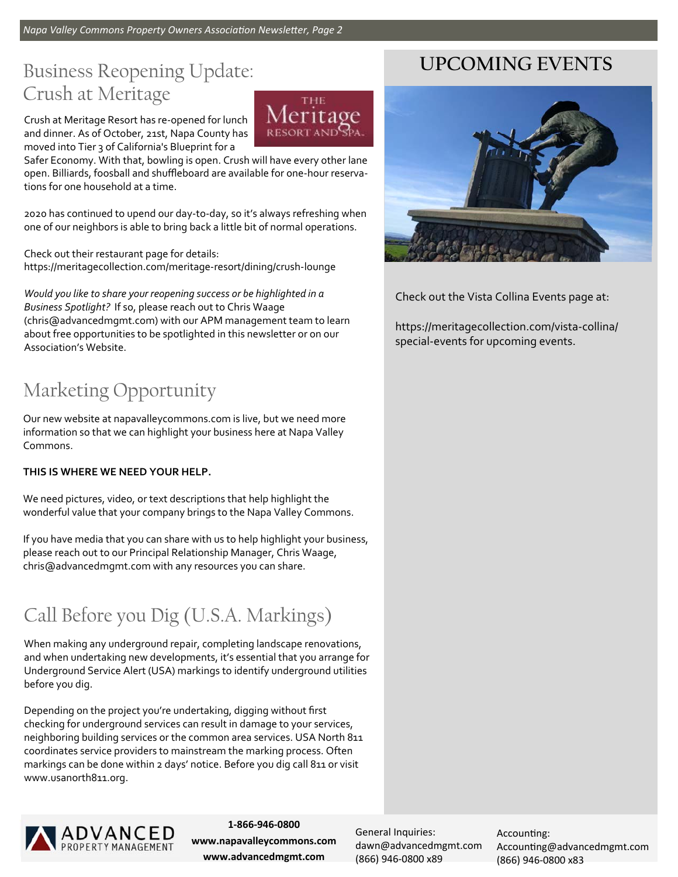### Business Reopening Update: Crush at Meritage

Crush at Meritage Resort has re‐opened for lunch and dinner. As of October, 21st, Napa County has moved into Tier 3 of California's Blueprint for a

Safer Economy. With that, bowling is open. Crush will have every other lane open. Billiards, foosball and shuffleboard are available for one‐hour reserva‐ tions for one household at a time.

THE leritage

2020 has continued to upend our day‐to‐day, so it's always refreshing when one of our neighbors is able to bring back a little bit of normal operations.

Check out their restaurant page for details: https://meritagecollection.com/meritage‐resort/dining/crush‐lounge

*Would you like to share your reopening success or be highlighted in a Business Spotlight?* If so, please reach out to Chris Waage (chris@advancedmgmt.com) with our APM management team to learn about free opportunities to be spotlighted in this newsletter or on our Association's Website.

### Marketing Opportunity

Our new website at napavalleycommons.com is live, but we need more information so that we can highlight your business here at Napa Valley Commons.

### **THIS IS WHERE WE NEED YOUR HELP.**

We need pictures, video, or text descriptions that help highlight the wonderful value that your company brings to the Napa Valley Commons.

If you have media that you can share with us to help highlight your business, please reach out to our Principal Relationship Manager, Chris Waage, chris@advancedmgmt.com with any resources you can share.

### Call Before you Dig (U.S.A. Markings)

When making any underground repair, completing landscape renovations, and when undertaking new developments, it's essential that you arrange for Underground Service Alert (USA) markings to identify underground utilities before you dig.

Depending on the project you're undertaking, digging without first checking for underground services can result in damage to your services, neighboring building services or the common area services. USA North 811 coordinates service providers to mainstream the marking process. Often markings can be done within 2 days' notice. Before you dig call 811 or visit www.usanorth811.org.



**1‐866‐946‐0800 www.napavalleycommons.com www.advancedmgmt.com** 

General Inquiries: dawn@advancedmgmt.com (866) 946‐0800 x89

Accounting: Accounting@advancedmgmt.com (866) 946‐0800 x83

### **UPCOMING EVENTS**



Check out the Vista Collina Events page at:

https://meritagecollection.com/vista‐collina/ special‐events for upcoming events.